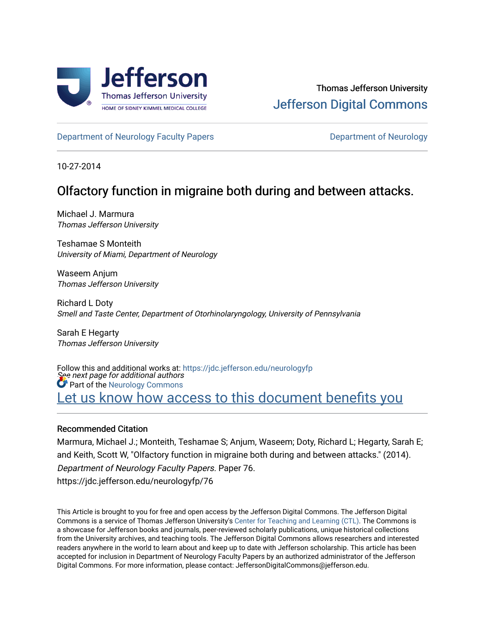

[Department of Neurology Faculty Papers](https://jdc.jefferson.edu/neurologyfp) **Department of Neurology** 

10-27-2014

## Olfactory function in migraine both during and between attacks.

Michael J. Marmura Thomas Jefferson University

Teshamae S Monteith University of Miami, Department of Neurology

Waseem Anjum Thomas Jefferson University

Richard L Doty Smell and Taste Center, Department of Otorhinolaryngology, University of Pennsylvania

Sarah E Hegarty Thomas Jefferson University

See next page for additional authors Follow this and additional works at: [https://jdc.jefferson.edu/neurologyfp](https://jdc.jefferson.edu/neurologyfp?utm_source=jdc.jefferson.edu%2Fneurologyfp%2F76&utm_medium=PDF&utm_campaign=PDFCoverPages)  Part of the [Neurology Commons](http://network.bepress.com/hgg/discipline/692?utm_source=jdc.jefferson.edu%2Fneurologyfp%2F76&utm_medium=PDF&utm_campaign=PDFCoverPages) Let us know how access to this document benefits you

### Recommended Citation

Marmura, Michael J.; Monteith, Teshamae S; Anjum, Waseem; Doty, Richard L; Hegarty, Sarah E; and Keith, Scott W, "Olfactory function in migraine both during and between attacks." (2014). Department of Neurology Faculty Papers. Paper 76. https://jdc.jefferson.edu/neurologyfp/76

This Article is brought to you for free and open access by the Jefferson Digital Commons. The Jefferson Digital Commons is a service of Thomas Jefferson University's [Center for Teaching and Learning \(CTL\)](http://www.jefferson.edu/university/teaching-learning.html/). The Commons is a showcase for Jefferson books and journals, peer-reviewed scholarly publications, unique historical collections from the University archives, and teaching tools. The Jefferson Digital Commons allows researchers and interested readers anywhere in the world to learn about and keep up to date with Jefferson scholarship. This article has been accepted for inclusion in Department of Neurology Faculty Papers by an authorized administrator of the Jefferson Digital Commons. For more information, please contact: JeffersonDigitalCommons@jefferson.edu.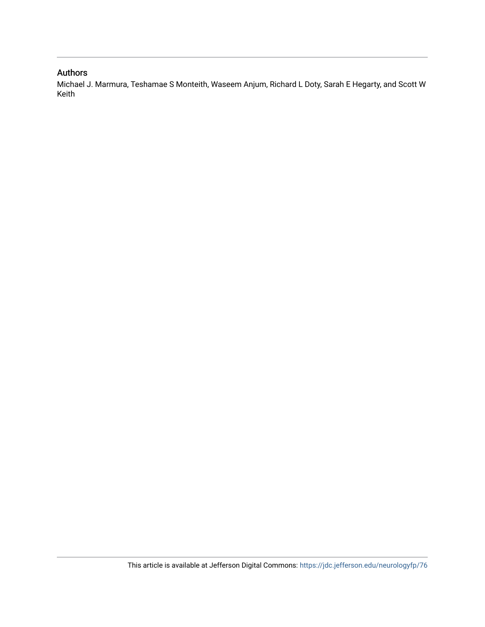## Authors

Michael J. Marmura, Teshamae S Monteith, Waseem Anjum, Richard L Doty, Sarah E Hegarty, and Scott W Keith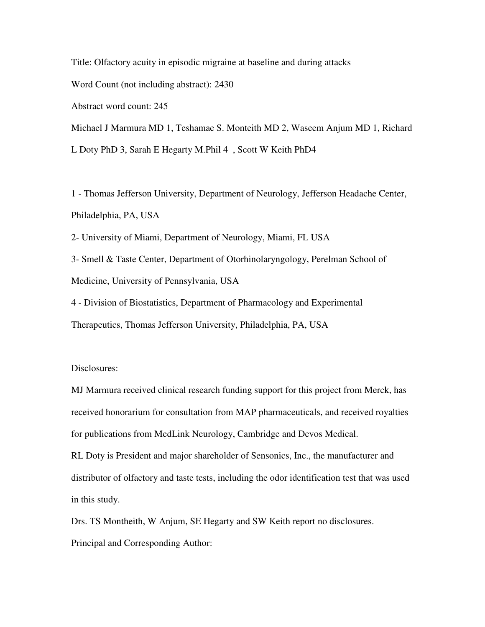Title: Olfactory acuity in episodic migraine at baseline and during attacks Word Count (not including abstract): 2430 Abstract word count: 245 Michael J Marmura MD 1, Teshamae S. Monteith MD 2, Waseem Anjum MD 1, Richard L Doty PhD 3, Sarah E Hegarty M.Phil 4 , Scott W Keith PhD4

1 - Thomas Jefferson University, Department of Neurology, Jefferson Headache Center, Philadelphia, PA, USA

2- University of Miami, Department of Neurology, Miami, FL USA

3- Smell & Taste Center, Department of Otorhinolaryngology, Perelman School of Medicine, University of Pennsylvania, USA

4 - Division of Biostatistics, Department of Pharmacology and Experimental Therapeutics, Thomas Jefferson University, Philadelphia, PA, USA

Disclosures:

MJ Marmura received clinical research funding support for this project from Merck, has received honorarium for consultation from MAP pharmaceuticals, and received royalties for publications from MedLink Neurology, Cambridge and Devos Medical.

RL Doty is President and major shareholder of Sensonics, Inc., the manufacturer and distributor of olfactory and taste tests, including the odor identification test that was used in this study.

Drs. TS Montheith, W Anjum, SE Hegarty and SW Keith report no disclosures. Principal and Corresponding Author: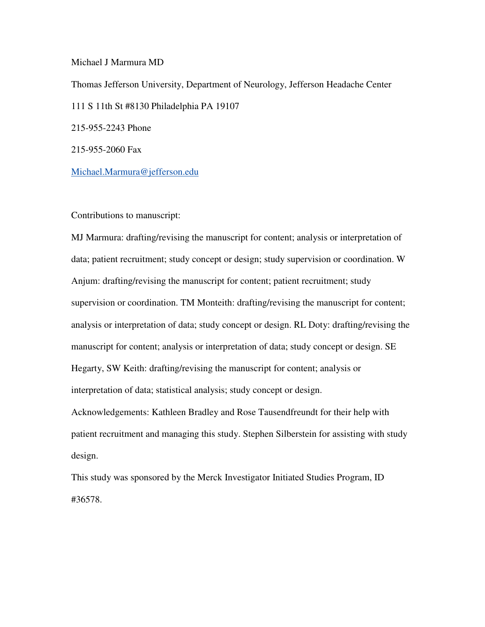Michael J Marmura MD

Thomas Jefferson University, Department of Neurology, Jefferson Headache Center 111 S 11th St #8130 Philadelphia PA 19107 215-955-2243 Phone 215-955-2060 Fax

Michael.Marmura@jefferson.edu

Contributions to manuscript:

MJ Marmura: drafting/revising the manuscript for content; analysis or interpretation of data; patient recruitment; study concept or design; study supervision or coordination. W Anjum: drafting/revising the manuscript for content; patient recruitment; study supervision or coordination. TM Monteith: drafting/revising the manuscript for content; analysis or interpretation of data; study concept or design. RL Doty: drafting/revising the manuscript for content; analysis or interpretation of data; study concept or design. SE Hegarty, SW Keith: drafting/revising the manuscript for content; analysis or interpretation of data; statistical analysis; study concept or design. Acknowledgements: Kathleen Bradley and Rose Tausendfreundt for their help with patient recruitment and managing this study. Stephen Silberstein for assisting with study design.

This study was sponsored by the Merck Investigator Initiated Studies Program, ID #36578.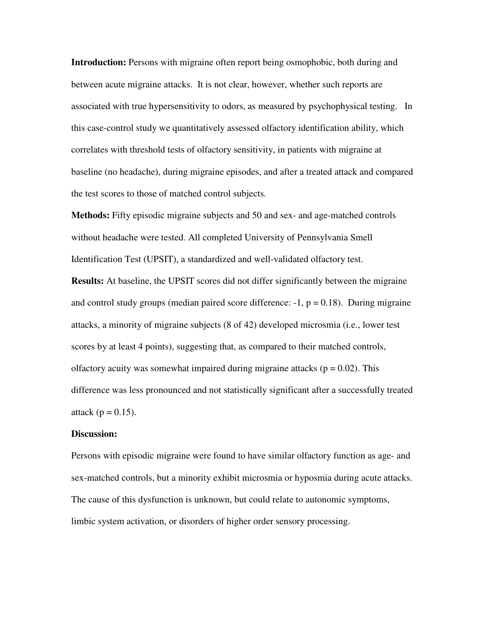**Introduction:** Persons with migraine often report being osmophobic, both during and between acute migraine attacks. It is not clear, however, whether such reports are associated with true hypersensitivity to odors, as measured by psychophysical testing. In this case-control study we quantitatively assessed olfactory identification ability, which correlates with threshold tests of olfactory sensitivity, in patients with migraine at baseline (no headache), during migraine episodes, and after a treated attack and compared the test scores to those of matched control subjects.

**Methods:** Fifty episodic migraine subjects and 50 and sex- and age-matched controls without headache were tested. All completed University of Pennsylvania Smell Identification Test (UPSIT), a standardized and well-validated olfactory test.

**Results:** At baseline, the UPSIT scores did not differ significantly between the migraine and control study groups (median paired score difference:  $-1$ ,  $p = 0.18$ ). During migraine attacks, a minority of migraine subjects (8 of 42) developed microsmia (i.e., lower test scores by at least 4 points), suggesting that, as compared to their matched controls, olfactory acuity was somewhat impaired during migraine attacks ( $p = 0.02$ ). This difference was less pronounced and not statistically significant after a successfully treated attack ( $p = 0.15$ ).

#### **Discussion:**

Persons with episodic migraine were found to have similar olfactory function as age- and sex-matched controls, but a minority exhibit microsmia or hyposmia during acute attacks. The cause of this dysfunction is unknown, but could relate to autonomic symptoms, limbic system activation, or disorders of higher order sensory processing.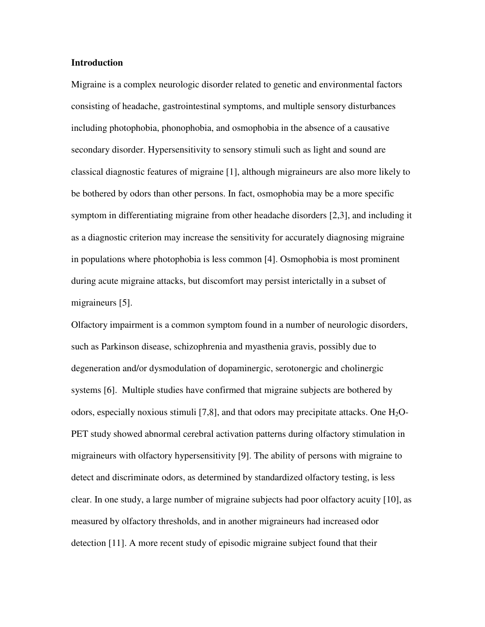#### **Introduction**

Migraine is a complex neurologic disorder related to genetic and environmental factors consisting of headache, gastrointestinal symptoms, and multiple sensory disturbances including photophobia, phonophobia, and osmophobia in the absence of a causative secondary disorder. Hypersensitivity to sensory stimuli such as light and sound are classical diagnostic features of migraine [1], although migraineurs are also more likely to be bothered by odors than other persons. In fact, osmophobia may be a more specific symptom in differentiating migraine from other headache disorders [2,3], and including it as a diagnostic criterion may increase the sensitivity for accurately diagnosing migraine in populations where photophobia is less common [4]. Osmophobia is most prominent during acute migraine attacks, but discomfort may persist interictally in a subset of migraineurs [5].

Olfactory impairment is a common symptom found in a number of neurologic disorders, such as Parkinson disease, schizophrenia and myasthenia gravis, possibly due to degeneration and/or dysmodulation of dopaminergic, serotonergic and cholinergic systems [6]. Multiple studies have confirmed that migraine subjects are bothered by odors, especially noxious stimuli [7,8], and that odors may precipitate attacks. One  $H_2O$ -PET study showed abnormal cerebral activation patterns during olfactory stimulation in migraineurs with olfactory hypersensitivity [9]. The ability of persons with migraine to detect and discriminate odors, as determined by standardized olfactory testing, is less clear. In one study, a large number of migraine subjects had poor olfactory acuity [10], as measured by olfactory thresholds, and in another migraineurs had increased odor detection [11]. A more recent study of episodic migraine subject found that their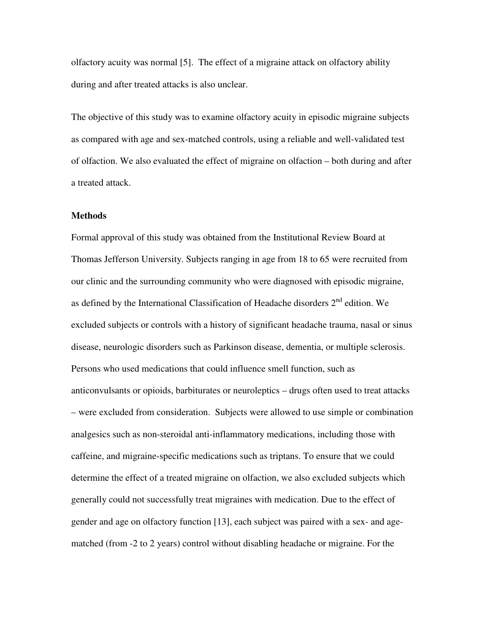olfactory acuity was normal [5]. The effect of a migraine attack on olfactory ability during and after treated attacks is also unclear.

The objective of this study was to examine olfactory acuity in episodic migraine subjects as compared with age and sex-matched controls, using a reliable and well-validated test of olfaction. We also evaluated the effect of migraine on olfaction – both during and after a treated attack.

#### **Methods**

Formal approval of this study was obtained from the Institutional Review Board at Thomas Jefferson University. Subjects ranging in age from 18 to 65 were recruited from our clinic and the surrounding community who were diagnosed with episodic migraine, as defined by the International Classification of Headache disorders 2nd edition. We excluded subjects or controls with a history of significant headache trauma, nasal or sinus disease, neurologic disorders such as Parkinson disease, dementia, or multiple sclerosis. Persons who used medications that could influence smell function, such as anticonvulsants or opioids, barbiturates or neuroleptics – drugs often used to treat attacks – were excluded from consideration. Subjects were allowed to use simple or combination analgesics such as non-steroidal anti-inflammatory medications, including those with caffeine, and migraine-specific medications such as triptans. To ensure that we could determine the effect of a treated migraine on olfaction, we also excluded subjects which generally could not successfully treat migraines with medication. Due to the effect of gender and age on olfactory function [13], each subject was paired with a sex- and agematched (from -2 to 2 years) control without disabling headache or migraine. For the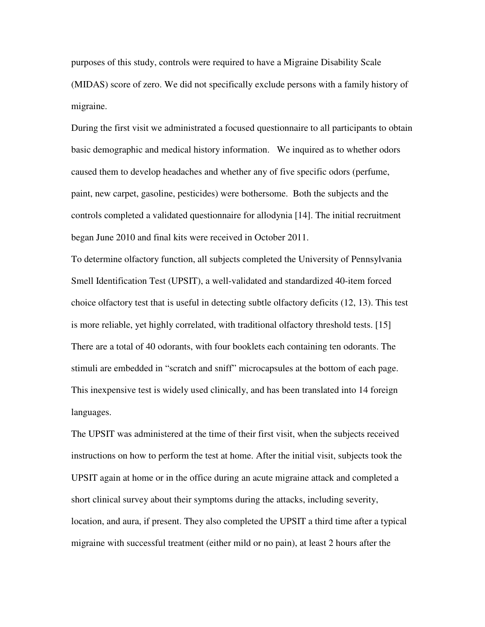purposes of this study, controls were required to have a Migraine Disability Scale (MIDAS) score of zero. We did not specifically exclude persons with a family history of migraine.

During the first visit we administrated a focused questionnaire to all participants to obtain basic demographic and medical history information. We inquired as to whether odors caused them to develop headaches and whether any of five specific odors (perfume, paint, new carpet, gasoline, pesticides) were bothersome. Both the subjects and the controls completed a validated questionnaire for allodynia [14]. The initial recruitment began June 2010 and final kits were received in October 2011.

To determine olfactory function, all subjects completed the University of Pennsylvania Smell Identification Test (UPSIT), a well-validated and standardized 40-item forced choice olfactory test that is useful in detecting subtle olfactory deficits (12, 13). This test is more reliable, yet highly correlated, with traditional olfactory threshold tests. [15] There are a total of 40 odorants, with four booklets each containing ten odorants. The stimuli are embedded in "scratch and sniff" microcapsules at the bottom of each page. This inexpensive test is widely used clinically, and has been translated into 14 foreign languages.

The UPSIT was administered at the time of their first visit, when the subjects received instructions on how to perform the test at home. After the initial visit, subjects took the UPSIT again at home or in the office during an acute migraine attack and completed a short clinical survey about their symptoms during the attacks, including severity, location, and aura, if present. They also completed the UPSIT a third time after a typical migraine with successful treatment (either mild or no pain), at least 2 hours after the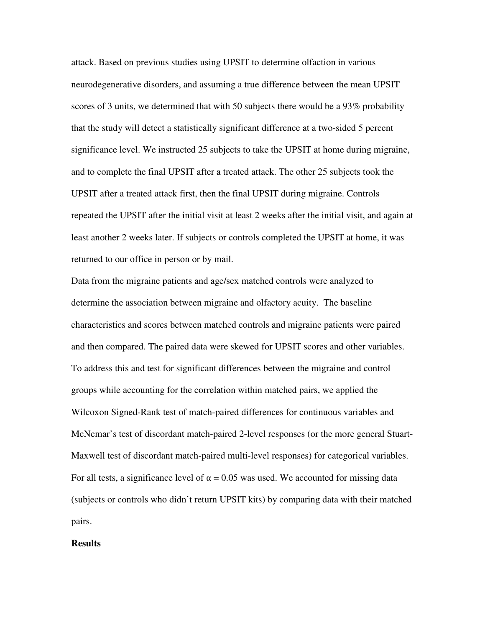attack. Based on previous studies using UPSIT to determine olfaction in various neurodegenerative disorders, and assuming a true difference between the mean UPSIT scores of 3 units, we determined that with 50 subjects there would be a 93% probability that the study will detect a statistically significant difference at a two-sided 5 percent significance level. We instructed 25 subjects to take the UPSIT at home during migraine, and to complete the final UPSIT after a treated attack. The other 25 subjects took the UPSIT after a treated attack first, then the final UPSIT during migraine. Controls repeated the UPSIT after the initial visit at least 2 weeks after the initial visit, and again at least another 2 weeks later. If subjects or controls completed the UPSIT at home, it was returned to our office in person or by mail.

Data from the migraine patients and age/sex matched controls were analyzed to determine the association between migraine and olfactory acuity. The baseline characteristics and scores between matched controls and migraine patients were paired and then compared. The paired data were skewed for UPSIT scores and other variables. To address this and test for significant differences between the migraine and control groups while accounting for the correlation within matched pairs, we applied the Wilcoxon Signed-Rank test of match-paired differences for continuous variables and McNemar's test of discordant match-paired 2-level responses (or the more general Stuart-Maxwell test of discordant match-paired multi-level responses) for categorical variables. For all tests, a significance level of  $\alpha = 0.05$  was used. We accounted for missing data (subjects or controls who didn't return UPSIT kits) by comparing data with their matched pairs.

#### **Results**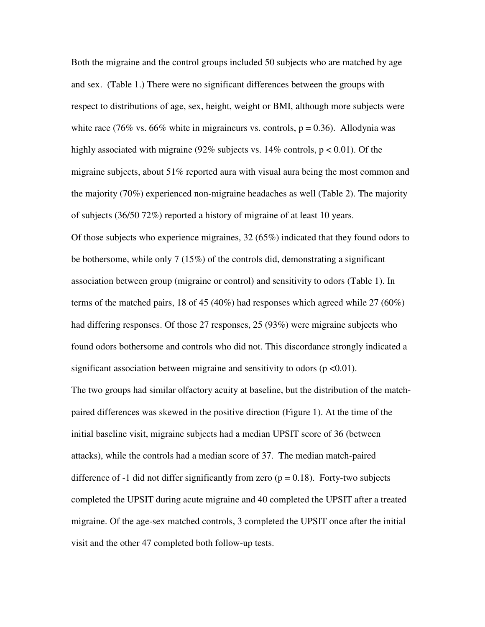Both the migraine and the control groups included 50 subjects who are matched by age and sex. (Table 1.) There were no significant differences between the groups with respect to distributions of age, sex, height, weight or BMI, although more subjects were white race (76% vs. 66% white in migraineurs vs. controls,  $p = 0.36$ ). Allodynia was highly associated with migraine (92% subjects vs.  $14\%$  controls, p < 0.01). Of the migraine subjects, about 51% reported aura with visual aura being the most common and the majority (70%) experienced non-migraine headaches as well (Table 2). The majority of subjects (36/50 72%) reported a history of migraine of at least 10 years. Of those subjects who experience migraines, 32 (65%) indicated that they found odors to be bothersome, while only 7 (15%) of the controls did, demonstrating a significant association between group (migraine or control) and sensitivity to odors (Table 1). In terms of the matched pairs, 18 of 45 (40%) had responses which agreed while 27 (60%) had differing responses. Of those 27 responses, 25 (93%) were migraine subjects who found odors bothersome and controls who did not. This discordance strongly indicated a significant association between migraine and sensitivity to odors ( $p \le 0.01$ ). The two groups had similar olfactory acuity at baseline, but the distribution of the matchpaired differences was skewed in the positive direction (Figure 1). At the time of the initial baseline visit, migraine subjects had a median UPSIT score of 36 (between attacks), while the controls had a median score of 37. The median match-paired difference of -1 did not differ significantly from zero ( $p = 0.18$ ). Forty-two subjects completed the UPSIT during acute migraine and 40 completed the UPSIT after a treated migraine. Of the age-sex matched controls, 3 completed the UPSIT once after the initial visit and the other 47 completed both follow-up tests.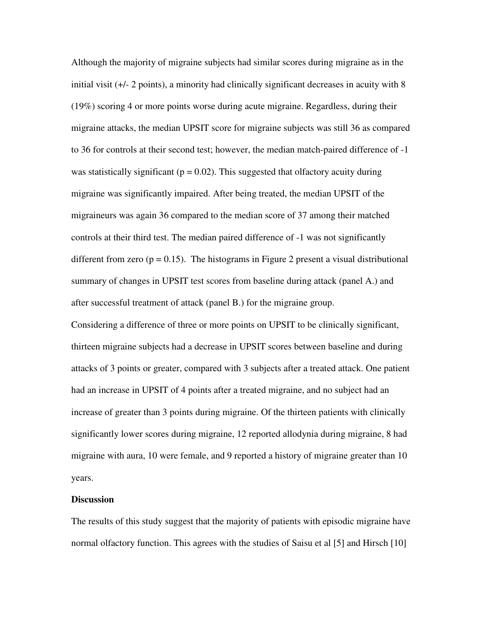Although the majority of migraine subjects had similar scores during migraine as in the initial visit (+/- 2 points), a minority had clinically significant decreases in acuity with 8 (19%) scoring 4 or more points worse during acute migraine. Regardless, during their migraine attacks, the median UPSIT score for migraine subjects was still 36 as compared to 36 for controls at their second test; however, the median match-paired difference of -1 was statistically significant ( $p = 0.02$ ). This suggested that olfactory acuity during migraine was significantly impaired. After being treated, the median UPSIT of the migraineurs was again 36 compared to the median score of 37 among their matched controls at their third test. The median paired difference of -1 was not significantly different from zero ( $p = 0.15$ ). The histograms in Figure 2 present a visual distributional summary of changes in UPSIT test scores from baseline during attack (panel A.) and after successful treatment of attack (panel B.) for the migraine group. Considering a difference of three or more points on UPSIT to be clinically significant, thirteen migraine subjects had a decrease in UPSIT scores between baseline and during attacks of 3 points or greater, compared with 3 subjects after a treated attack. One patient had an increase in UPSIT of 4 points after a treated migraine, and no subject had an increase of greater than 3 points during migraine. Of the thirteen patients with clinically significantly lower scores during migraine, 12 reported allodynia during migraine, 8 had migraine with aura, 10 were female, and 9 reported a history of migraine greater than 10

#### **Discussion**

years.

The results of this study suggest that the majority of patients with episodic migraine have normal olfactory function. This agrees with the studies of Saisu et al [5] and Hirsch [10]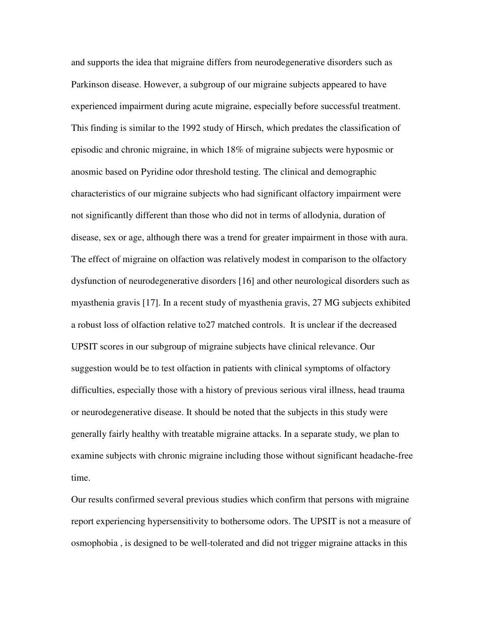and supports the idea that migraine differs from neurodegenerative disorders such as Parkinson disease. However, a subgroup of our migraine subjects appeared to have experienced impairment during acute migraine, especially before successful treatment. This finding is similar to the 1992 study of Hirsch, which predates the classification of episodic and chronic migraine, in which 18% of migraine subjects were hyposmic or anosmic based on Pyridine odor threshold testing. The clinical and demographic characteristics of our migraine subjects who had significant olfactory impairment were not significantly different than those who did not in terms of allodynia, duration of disease, sex or age, although there was a trend for greater impairment in those with aura. The effect of migraine on olfaction was relatively modest in comparison to the olfactory dysfunction of neurodegenerative disorders [16] and other neurological disorders such as myasthenia gravis [17]. In a recent study of myasthenia gravis, 27 MG subjects exhibited a robust loss of olfaction relative to27 matched controls. It is unclear if the decreased UPSIT scores in our subgroup of migraine subjects have clinical relevance. Our suggestion would be to test olfaction in patients with clinical symptoms of olfactory difficulties, especially those with a history of previous serious viral illness, head trauma or neurodegenerative disease. It should be noted that the subjects in this study were generally fairly healthy with treatable migraine attacks. In a separate study, we plan to examine subjects with chronic migraine including those without significant headache-free time.

Our results confirmed several previous studies which confirm that persons with migraine report experiencing hypersensitivity to bothersome odors. The UPSIT is not a measure of osmophobia , is designed to be well-tolerated and did not trigger migraine attacks in this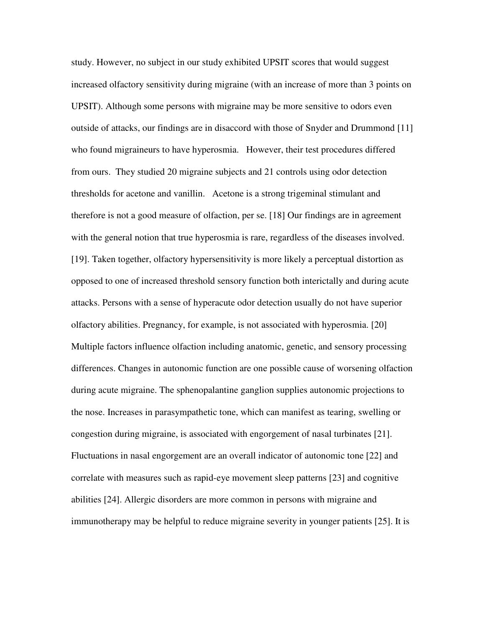study. However, no subject in our study exhibited UPSIT scores that would suggest increased olfactory sensitivity during migraine (with an increase of more than 3 points on UPSIT). Although some persons with migraine may be more sensitive to odors even outside of attacks, our findings are in disaccord with those of Snyder and Drummond [11] who found migraineurs to have hyperosmia. However, their test procedures differed from ours. They studied 20 migraine subjects and 21 controls using odor detection thresholds for acetone and vanillin. Acetone is a strong trigeminal stimulant and therefore is not a good measure of olfaction, per se. [18] Our findings are in agreement with the general notion that true hyperosmia is rare, regardless of the diseases involved. [19]. Taken together, olfactory hypersensitivity is more likely a perceptual distortion as opposed to one of increased threshold sensory function both interictally and during acute attacks. Persons with a sense of hyperacute odor detection usually do not have superior olfactory abilities. Pregnancy, for example, is not associated with hyperosmia. [20] Multiple factors influence olfaction including anatomic, genetic, and sensory processing differences. Changes in autonomic function are one possible cause of worsening olfaction during acute migraine. The sphenopalantine ganglion supplies autonomic projections to the nose. Increases in parasympathetic tone, which can manifest as tearing, swelling or congestion during migraine, is associated with engorgement of nasal turbinates [21]. Fluctuations in nasal engorgement are an overall indicator of autonomic tone [22] and correlate with measures such as rapid-eye movement sleep patterns [23] and cognitive abilities [24]. Allergic disorders are more common in persons with migraine and immunotherapy may be helpful to reduce migraine severity in younger patients [25]. It is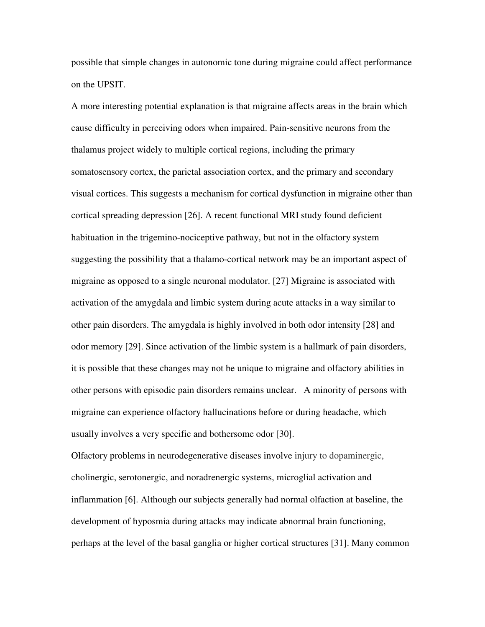possible that simple changes in autonomic tone during migraine could affect performance on the UPSIT.

A more interesting potential explanation is that migraine affects areas in the brain which cause difficulty in perceiving odors when impaired. Pain-sensitive neurons from the thalamus project widely to multiple cortical regions, including the primary somatosensory cortex, the parietal association cortex, and the primary and secondary visual cortices. This suggests a mechanism for cortical dysfunction in migraine other than cortical spreading depression [26]. A recent functional MRI study found deficient habituation in the trigemino-nociceptive pathway, but not in the olfactory system suggesting the possibility that a thalamo-cortical network may be an important aspect of migraine as opposed to a single neuronal modulator. [27] Migraine is associated with activation of the amygdala and limbic system during acute attacks in a way similar to other pain disorders. The amygdala is highly involved in both odor intensity [28] and odor memory [29]. Since activation of the limbic system is a hallmark of pain disorders, it is possible that these changes may not be unique to migraine and olfactory abilities in other persons with episodic pain disorders remains unclear. A minority of persons with migraine can experience olfactory hallucinations before or during headache, which usually involves a very specific and bothersome odor [30].

Olfactory problems in neurodegenerative diseases involve injury to dopaminergic, cholinergic, serotonergic, and noradrenergic systems, microglial activation and inflammation [6]. Although our subjects generally had normal olfaction at baseline, the development of hyposmia during attacks may indicate abnormal brain functioning, perhaps at the level of the basal ganglia or higher cortical structures [31]. Many common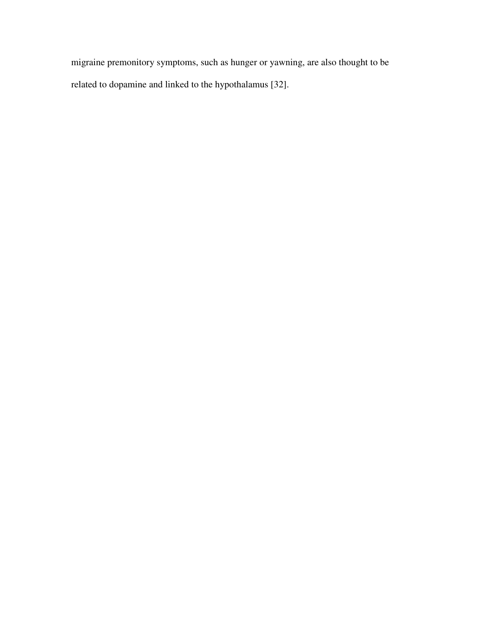migraine premonitory symptoms, such as hunger or yawning, are also thought to be related to dopamine and linked to the hypothalamus [32].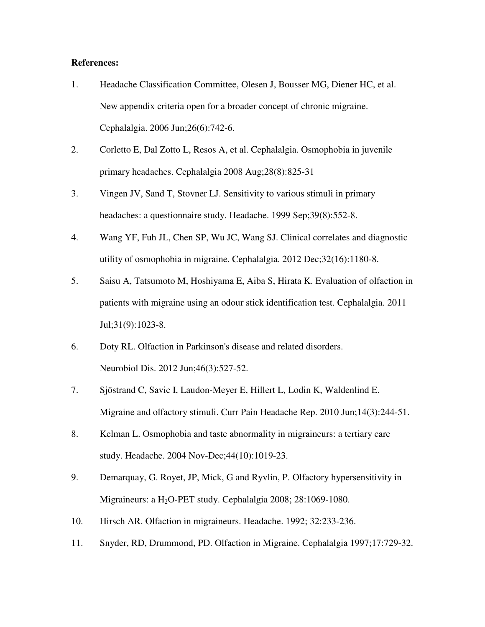### **References:**

- 1. Headache Classification Committee, Olesen J, Bousser MG, Diener HC, et al. New appendix criteria open for a broader concept of chronic migraine. Cephalalgia. 2006 Jun;26(6):742-6.
- 2. Corletto E, Dal Zotto L, Resos A, et al. Cephalalgia. Osmophobia in juvenile primary headaches. Cephalalgia 2008 Aug;28(8):825-31
- 3. Vingen JV, Sand T, Stovner LJ. Sensitivity to various stimuli in primary headaches: a questionnaire study. Headache. 1999 Sep;39(8):552-8.
- 4. Wang YF, Fuh JL, Chen SP, Wu JC, Wang SJ. Clinical correlates and diagnostic utility of osmophobia in migraine. Cephalalgia. 2012 Dec;32(16):1180-8.
- 5. Saisu A, Tatsumoto M, Hoshiyama E, Aiba S, Hirata K. Evaluation of olfaction in patients with migraine using an odour stick identification test. Cephalalgia. 2011 Jul;31(9):1023-8.
- 6. Doty RL. Olfaction in Parkinson's disease and related disorders. Neurobiol Dis. 2012 Jun;46(3):527-52.
- 7. Sjöstrand C, Savic I, Laudon-Meyer E, Hillert L, Lodin K, Waldenlind E. Migraine and olfactory stimuli. Curr Pain Headache Rep. 2010 Jun;14(3):244-51.
- 8. Kelman L. Osmophobia and taste abnormality in migraineurs: a tertiary care study. Headache. 2004 Nov-Dec;44(10):1019-23.
- 9. Demarquay, G. Royet, JP, Mick, G and Ryvlin, P. Olfactory hypersensitivity in Migraineurs: a  $H_2O$ -PET study. Cephalalgia 2008; 28:1069-1080.
- 10. Hirsch AR. Olfaction in migraineurs. Headache. 1992; 32:233-236.
- 11. Snyder, RD, Drummond, PD. Olfaction in Migraine. Cephalalgia 1997;17:729-32.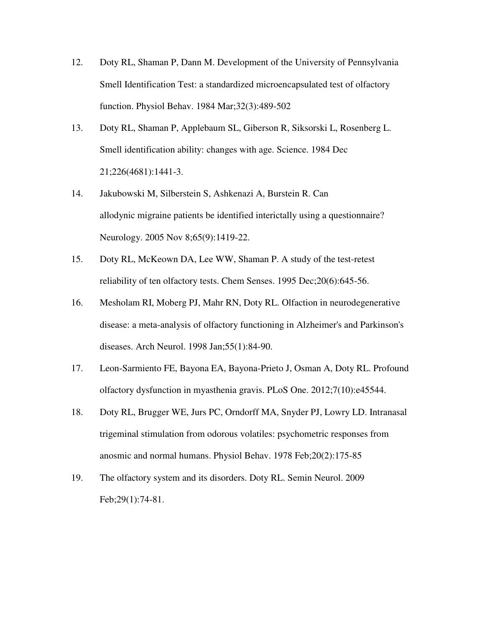- 12. Doty RL, Shaman P, Dann M. Development of the University of Pennsylvania Smell Identification Test: a standardized microencapsulated test of olfactory function. Physiol Behav. 1984 Mar;32(3):489-502
- 13. Doty RL, Shaman P, Applebaum SL, Giberson R, Siksorski L, Rosenberg L. Smell identification ability: changes with age. Science. 1984 Dec 21;226(4681):1441-3.
- 14. Jakubowski M, Silberstein S, Ashkenazi A, Burstein R. Can allodynic migraine patients be identified interictally using a questionnaire? Neurology. 2005 Nov 8;65(9):1419-22.
- 15. Doty RL, McKeown DA, Lee WW, Shaman P. A study of the test-retest reliability of ten olfactory tests. Chem Senses. 1995 Dec;20(6):645-56.
- 16. Mesholam RI, Moberg PJ, Mahr RN, Doty RL. Olfaction in neurodegenerative disease: a meta-analysis of olfactory functioning in Alzheimer's and Parkinson's diseases. Arch Neurol. 1998 Jan;55(1):84-90.
- 17. Leon-Sarmiento FE, Bayona EA, Bayona-Prieto J, Osman A, Doty RL. Profound olfactory dysfunction in myasthenia gravis. PLoS One. 2012;7(10):e45544.
- 18. Doty RL, Brugger WE, Jurs PC, Orndorff MA, Snyder PJ, Lowry LD. Intranasal trigeminal stimulation from odorous volatiles: psychometric responses from anosmic and normal humans. Physiol Behav. 1978 Feb;20(2):175-85
- 19. The olfactory system and its disorders. Doty RL. Semin Neurol. 2009 Feb;29(1):74-81.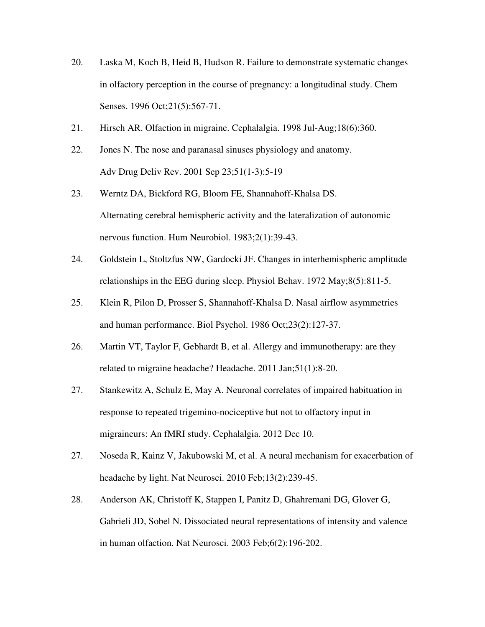- 20. Laska M, Koch B, Heid B, Hudson R. Failure to demonstrate systematic changes in olfactory perception in the course of pregnancy: a longitudinal study. Chem Senses. 1996 Oct; 21(5): 567-71.
- 21. Hirsch AR. Olfaction in migraine. Cephalalgia. 1998 Jul-Aug;18(6):360.
- 22. Jones N. The nose and paranasal sinuses physiology and anatomy. Adv Drug Deliv Rev. 2001 Sep 23;51(1-3):5-19
- 23. Werntz DA, Bickford RG, Bloom FE, Shannahoff-Khalsa DS. Alternating cerebral hemispheric activity and the lateralization of autonomic nervous function. Hum Neurobiol. 1983;2(1):39-43.
- 24. Goldstein L, Stoltzfus NW, Gardocki JF. Changes in interhemispheric amplitude relationships in the EEG during sleep. Physiol Behav. 1972 May;8(5):811-5.
- 25. Klein R, Pilon D, Prosser S, Shannahoff-Khalsa D. Nasal airflow asymmetries and human performance. Biol Psychol. 1986 Oct;23(2):127-37.
- 26. Martin VT, Taylor F, Gebhardt B, et al. Allergy and immunotherapy: are they related to migraine headache? Headache. 2011 Jan;51(1):8-20.
- 27. Stankewitz A, Schulz E, May A. Neuronal correlates of impaired habituation in response to repeated trigemino-nociceptive but not to olfactory input in migraineurs: An fMRI study. Cephalalgia. 2012 Dec 10.
- 27. Noseda R, Kainz V, Jakubowski M, et al. A neural mechanism for exacerbation of headache by light. Nat Neurosci. 2010 Feb;13(2):239-45.
- 28. Anderson AK, Christoff K, Stappen I, Panitz D, Ghahremani DG, Glover G, Gabrieli JD, Sobel N. Dissociated neural representations of intensity and valence in human olfaction. Nat Neurosci. 2003 Feb;6(2):196-202.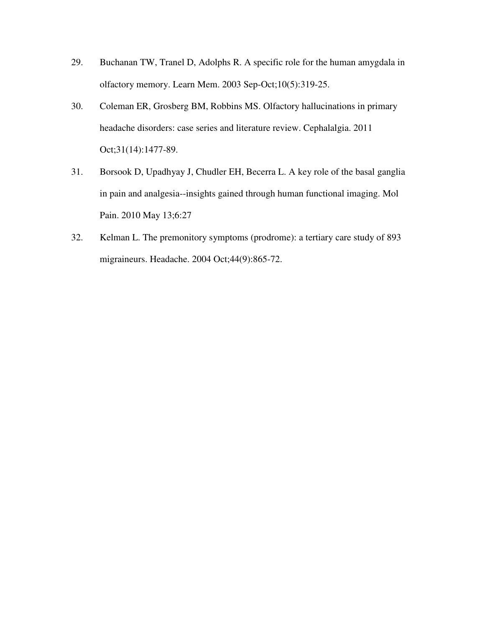- 29. Buchanan TW, Tranel D, Adolphs R. A specific role for the human amygdala in olfactory memory. Learn Mem. 2003 Sep-Oct;10(5):319-25.
- 30. Coleman ER, Grosberg BM, Robbins MS. Olfactory hallucinations in primary headache disorders: case series and literature review. Cephalalgia. 2011 Oct;31(14):1477-89.
- 31. Borsook D, Upadhyay J, Chudler EH, Becerra L. A key role of the basal ganglia in pain and analgesia--insights gained through human functional imaging. Mol Pain. 2010 May 13;6:27
- 32. Kelman L. The premonitory symptoms (prodrome): a tertiary care study of 893 migraineurs. Headache. 2004 Oct;44(9):865-72.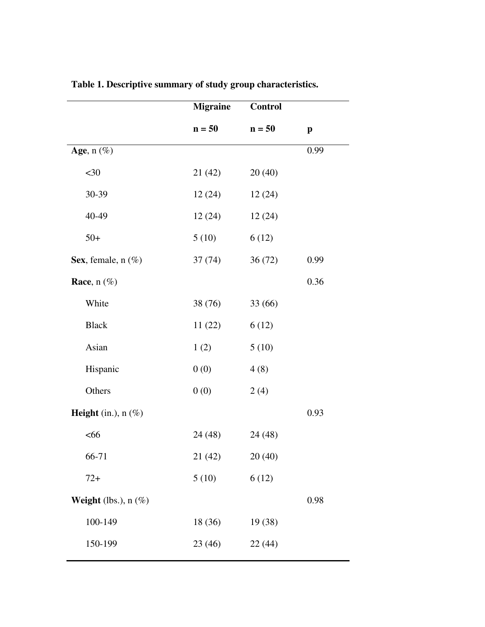|                              | <b>Migraine</b> | <b>Control</b> |              |
|------------------------------|-----------------|----------------|--------------|
|                              | $n = 50$        | $n = 50$       | $\mathbf{p}$ |
| Age, $n(\%)$                 |                 |                | 0.99         |
| $30$                         | 21(42)          | 20(40)         |              |
| 30-39                        | 12(24)          | 12(24)         |              |
| 40-49                        | 12(24)          | 12(24)         |              |
| $50+$                        | 5(10)           | 6(12)          |              |
| Sex, female, $n$ (%)         | 37(74)          | 36(72)         | 0.99         |
| Race, $n(\%)$                |                 |                | 0.36         |
| White                        | 38 (76)         | 33 (66)        |              |
| <b>Black</b>                 | 11(22)          | 6(12)          |              |
| Asian                        | 1(2)            | 5(10)          |              |
| Hispanic                     | 0(0)            | 4(8)           |              |
| Others                       | 0(0)            | 2(4)           |              |
| <b>Height</b> (in.), $n$ (%) |                 |                | 0.93         |
| <66                          | 24 (48)         | 24 (48)        |              |
| 66-71                        | 21(42)          | 20(40)         |              |
| $72+$                        | 5(10)           | 6(12)          |              |
| Weight (lbs.), $n$ (%)       |                 |                | 0.98         |
| 100-149                      | 18 (36)         | 19 (38)        |              |
| 150-199                      | 23 (46)         | 22 (44)        |              |
|                              |                 |                |              |

**Table 1. Descriptive summary of study group characteristics.**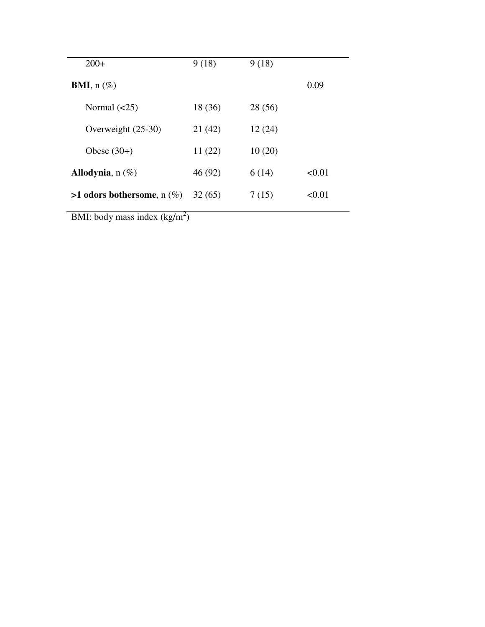| $200+$                          | 9(18)   | 9(18)   |        |
|---------------------------------|---------|---------|--------|
| <b>BMI</b> , $n$ (%)            |         |         | 0.09   |
| Normal $(\leq 25)$              | 18 (36) | 28 (56) |        |
| Overweight (25-30)              | 21(42)  | 12(24)  |        |
| Obese $(30+)$                   | 11(22)  | 10(20)  |        |
| Allodynia, $n(\%)$              | 46 (92) | 6(14)   | < 0.01 |
| $>1$ odors bothersome, n $(\%)$ | 32(65)  | 7(15)   | < 0.01 |
|                                 |         |         |        |

BMI: body mass index  $(kg/m<sup>2</sup>)$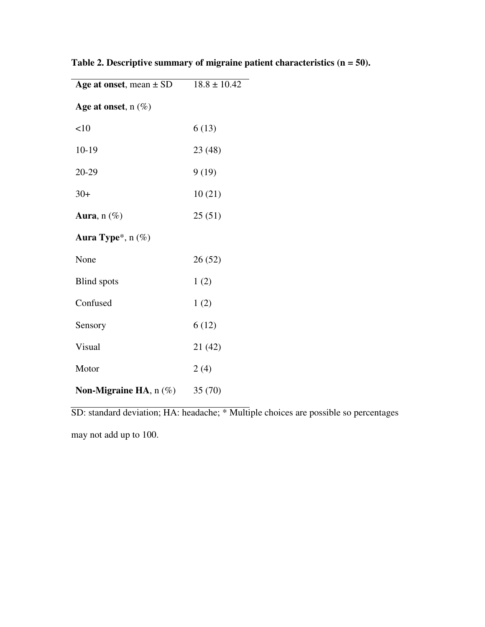| Age at onset, mean $\pm$ SD | $18.8 \pm 10.42$ |
|-----------------------------|------------------|
| Age at onset, $n(\%)$       |                  |
| <10                         | 6(13)            |
| $10-19$                     | 23(48)           |
| 20-29                       | 9(19)            |
| $30+$                       | 10(21)           |
| Aura, $n(\%)$               | 25(51)           |
| Aura Type*, n (%)           |                  |
| None                        | 26(52)           |
| <b>Blind</b> spots          | 1(2)             |
| Confused                    | 1(2)             |
| Sensory                     | 6(12)            |
| Visual                      | 21 (42)          |
| Motor                       | 2(4)             |
| Non-Migraine HA, $n$ (%)    | 35(70)           |

**Table 2. Descriptive summary of migraine patient characteristics (n = 50).**

SD: standard deviation; HA: headache; \* Multiple choices are possible so percentages

may not add up to 100.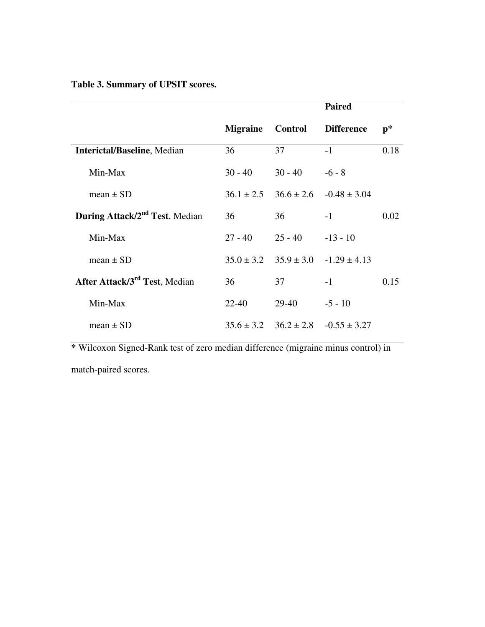## **Table 3. Summary of UPSIT scores.**

|                                            |                 | <b>Paired</b>  |                                                |      |
|--------------------------------------------|-----------------|----------------|------------------------------------------------|------|
|                                            | <b>Migraine</b> | <b>Control</b> | <b>Difference</b>                              | p*   |
| <b>Interictal/Baseline, Median</b>         | 36              | 37             | $-1$                                           | 0.18 |
| Min-Max                                    | $30 - 40$       | $30 - 40$      | $-6 - 8$                                       |      |
| mean $\pm$ SD                              | $36.1 \pm 2.5$  |                | $36.6 \pm 2.6$ $-0.48 \pm 3.04$                |      |
| During Attack/2 <sup>nd</sup> Test, Median | 36              | 36             | $-1$                                           | 0.02 |
| Min-Max                                    | $27 - 40$       | $25 - 40$      | $-13 - 10$                                     |      |
| mean $\pm$ SD                              | $35.0 \pm 3.2$  |                | $35.9 \pm 3.0$ $-1.29 \pm 4.13$                |      |
| After Attack/3 <sup>rd</sup> Test, Median  | 36              | 37             | $-1$                                           | 0.15 |
| Min-Max                                    | 22-40           | 29-40          | $-5 - 10$                                      |      |
| mean $\pm$ SD                              |                 |                | $35.6 \pm 3.2$ $36.2 \pm 2.8$ $-0.55 \pm 3.27$ |      |

**\*** Wilcoxon Signed-Rank test of zero median difference (migraine minus control) in

match-paired scores.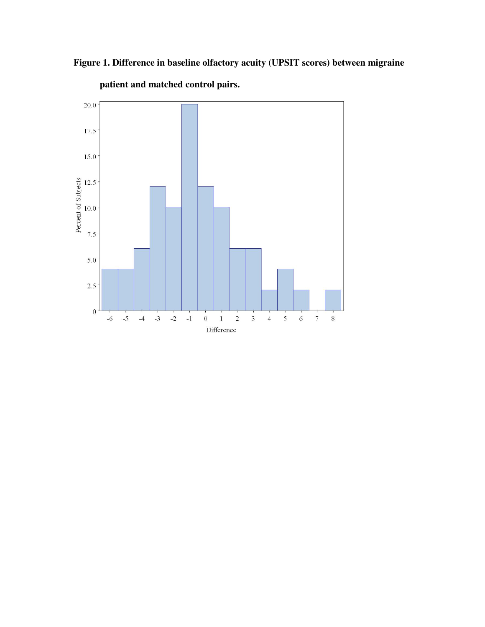

 **Figure 1. Difference in baseline olfactory acuity (UPSIT scores) between migraine** 

**patient and matched control pairs.**